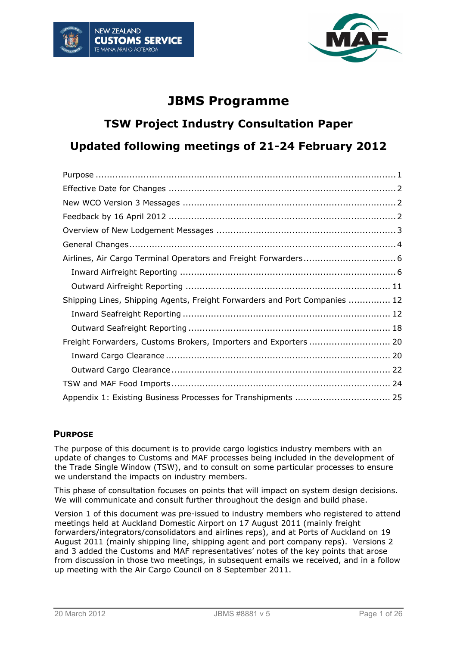



## **JBMS Programme**

# **TSW Project Industry Consultation Paper Updated following meetings of 21-24 February 2012**

| Shipping Lines, Shipping Agents, Freight Forwarders and Port Companies  12 |  |  |  |
|----------------------------------------------------------------------------|--|--|--|
|                                                                            |  |  |  |
|                                                                            |  |  |  |
|                                                                            |  |  |  |
|                                                                            |  |  |  |
|                                                                            |  |  |  |
|                                                                            |  |  |  |
|                                                                            |  |  |  |

## <span id="page-0-0"></span>**PURPOSE**

The purpose of this document is to provide cargo logistics industry members with an update of changes to Customs and MAF processes being included in the development of the Trade Single Window (TSW), and to consult on some particular processes to ensure we understand the impacts on industry members.

This phase of consultation focuses on points that will impact on system design decisions. We will communicate and consult further throughout the design and build phase.

Version 1 of this document was pre-issued to industry members who registered to attend meetings held at Auckland Domestic Airport on 17 August 2011 (mainly freight forwarders/integrators/consolidators and airlines reps), and at Ports of Auckland on 19 August 2011 (mainly shipping line, shipping agent and port company reps). Versions 2 and 3 added the Customs and MAF representatives' notes of the key points that arose from discussion in those two meetings, in subsequent emails we received, and in a follow up meeting with the Air Cargo Council on 8 September 2011.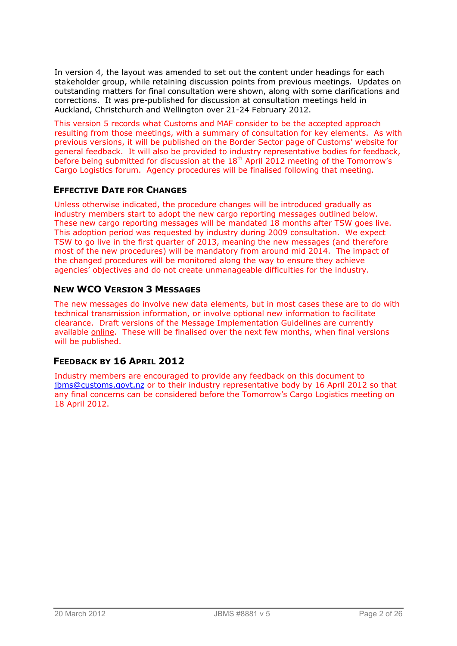In version 4, the layout was amended to set out the content under headings for each stakeholder group, while retaining discussion points from previous meetings. Updates on outstanding matters for final consultation were shown, along with some clarifications and corrections. It was pre-published for discussion at consultation meetings held in Auckland, Christchurch and Wellington over 21-24 February 2012.

This version 5 records what Customs and MAF consider to be the accepted approach resulting from those meetings, with a summary of consultation for key elements. As with previous versions, it will be published on the Border Sector page of Customs' website for general feedback. It will also be provided to industry representative bodies for feedback, before being submitted for discussion at the 18<sup>th</sup> April 2012 meeting of the Tomorrow's Cargo Logistics forum. Agency procedures will be finalised following that meeting.

## <span id="page-1-0"></span>**EFFECTIVE DATE FOR CHANGES**

Unless otherwise indicated, the procedure changes will be introduced gradually as industry members start to adopt the new cargo reporting messages outlined below. These new cargo reporting messages will be mandated 18 months after TSW goes live. This adoption period was requested by industry during 2009 consultation. We expect TSW to go live in the first quarter of 2013, meaning the new messages (and therefore most of the new procedures) will be mandatory from around mid 2014. The impact of the changed procedures will be monitored along the way to ensure they achieve agencies' objectives and do not create unmanageable difficulties for the industry.

## <span id="page-1-1"></span>**NEW WCO VERSION 3 MESSAGES**

The new messages do involve new data elements, but in most cases these are to do with technical transmission information, or involve optional new information to facilitate clearance. Draft versions of the [Message Implementation Guidelines](http://www.customs.govt.nz/features/bordersector/TSWdocuments/Pages/default.aspx) are currently available [online.](http://www.customs.govt.nz/features/bordersector/TSWdocuments/Pages/default.aspx) These will be finalised over the next few months, when final versions will be published.

## <span id="page-1-2"></span>**FEEDBACK BY 16 APRIL 2012**

Industry members are encouraged to provide any feedback on this document to [jbms@customs.govt.nz](mailto:jbms@customs.govt.nz) or to their industry representative body by 16 April 2012 so that any final concerns can be considered before the Tomorrow's Cargo Logistics meeting on 18 April 2012.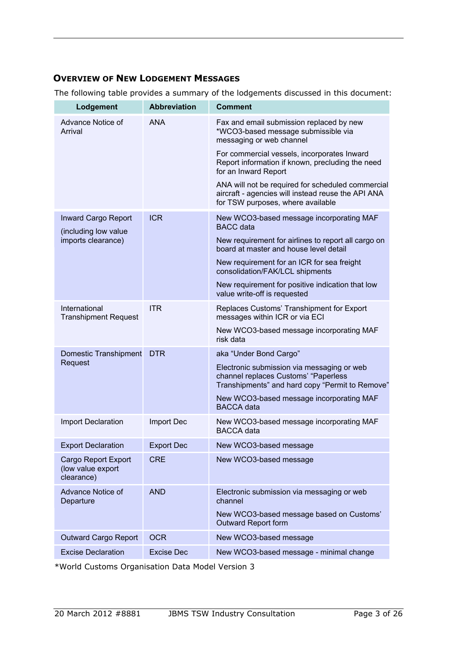## <span id="page-2-0"></span>**OVERVIEW OF NEW LODGEMENT MESSAGES**

The following table provides a summary of the lodgements discussed in this document:

| Lodgement                                                                | <b>Abbreviation</b> | <b>Comment</b>                                                                                                                               |
|--------------------------------------------------------------------------|---------------------|----------------------------------------------------------------------------------------------------------------------------------------------|
| Advance Notice of<br>Arrival                                             | <b>ANA</b>          | Fax and email submission replaced by new<br>*WCO3-based message submissible via<br>messaging or web channel                                  |
|                                                                          |                     | For commercial vessels, incorporates Inward<br>Report information if known, precluding the need<br>for an Inward Report                      |
|                                                                          |                     | ANA will not be required for scheduled commercial<br>aircraft - agencies will instead reuse the API ANA<br>for TSW purposes, where available |
| <b>Inward Cargo Report</b><br>(including low value<br>imports clearance) | <b>ICR</b>          | New WCO3-based message incorporating MAF<br><b>BACC</b> data                                                                                 |
|                                                                          |                     | New requirement for airlines to report all cargo on<br>board at master and house level detail                                                |
|                                                                          |                     | New requirement for an ICR for sea freight<br>consolidation/FAK/LCL shipments                                                                |
|                                                                          |                     | New requirement for positive indication that low<br>value write-off is requested                                                             |
| International<br><b>Transhipment Request</b>                             | <b>ITR</b>          | Replaces Customs' Transhipment for Export<br>messages within ICR or via ECI                                                                  |
|                                                                          |                     | New WCO3-based message incorporating MAF<br>risk data                                                                                        |
| <b>Domestic Transhipment</b><br>Request                                  | <b>DTR</b>          | aka "Under Bond Cargo"                                                                                                                       |
|                                                                          |                     | Electronic submission via messaging or web<br>channel replaces Customs' "Paperless<br>Transhipments" and hard copy "Permit to Remove"        |
|                                                                          |                     | New WCO3-based message incorporating MAF<br><b>BACCA</b> data                                                                                |
| <b>Import Declaration</b>                                                | Import Dec          | New WCO3-based message incorporating MAF<br><b>BACCA</b> data                                                                                |
| <b>Export Declaration</b>                                                | <b>Export Dec</b>   | New WCO3-based message                                                                                                                       |
| <b>Cargo Report Export</b><br>(low value export<br>clearance)            | <b>CRE</b>          | New WCO3-based message                                                                                                                       |
| Advance Notice of<br>Departure                                           | <b>AND</b>          | Electronic submission via messaging or web<br>channel                                                                                        |
|                                                                          |                     | New WCO3-based message based on Customs'<br><b>Outward Report form</b>                                                                       |
| <b>Outward Cargo Report</b>                                              | <b>OCR</b>          | New WCO3-based message                                                                                                                       |
| <b>Excise Declaration</b>                                                | <b>Excise Dec</b>   | New WCO3-based message - minimal change                                                                                                      |

\*World Customs Organisation Data Model Version 3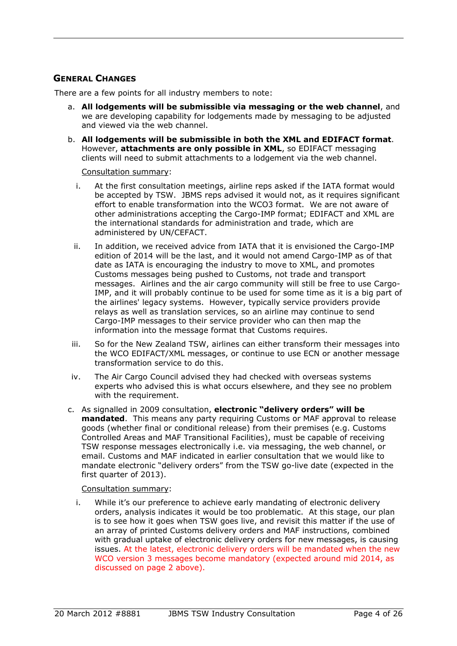## <span id="page-3-0"></span>**GENERAL CHANGES**

There are a few points for all industry members to note:

- a. **All lodgements will be submissible via messaging or the web channel**, and we are developing capability for lodgements made by messaging to be adjusted and viewed via the web channel.
- b. **All lodgements will be submissible in both the XML and EDIFACT format**. However, **attachments are only possible in XML**, so EDIFACT messaging clients will need to submit attachments to a lodgement via the web channel.

Consultation summary:

- i. At the first consultation meetings, airline reps asked if the IATA format would be accepted by TSW. JBMS reps advised it would not, as it requires significant effort to enable transformation into the WCO3 format. We are not aware of other administrations accepting the Cargo-IMP format; EDIFACT and XML are the international standards for administration and trade, which are administered by UN/CEFACT.
- ii. In addition, we received advice from IATA that it is envisioned the Cargo-IMP edition of 2014 will be the last, and it would not amend Cargo-IMP as of that date as IATA is encouraging the industry to move to XML, and promotes Customs messages being pushed to Customs, not trade and transport messages. Airlines and the air cargo community will still be free to use Cargo-IMP, and it will probably continue to be used for some time as it is a big part of the airlines' legacy systems. However, typically service providers provide relays as well as translation services, so an airline may continue to send Cargo-IMP messages to their service provider who can then map the information into the message format that Customs requires.
- iii. So for the New Zealand TSW, airlines can either transform their messages into the WCO EDIFACT/XML messages, or continue to use ECN or another message transformation service to do this.
- iv. The Air Cargo Council advised they had checked with overseas systems experts who advised this is what occurs elsewhere, and they see no problem with the requirement.
- c. As signalled in 2009 consultation, **electronic "delivery orders" will be mandated**. This means any party requiring Customs or MAF approval to release goods (whether final or conditional release) from their premises (e.g. Customs Controlled Areas and MAF Transitional Facilities), must be capable of receiving TSW response messages electronically i.e. via messaging, the web channel, or email. Customs and MAF indicated in earlier consultation that we would like to mandate electronic "delivery orders" from the TSW go-live date (expected in the first quarter of 2013).

#### Consultation summary:

i. While it's our preference to achieve early mandating of electronic delivery orders, analysis indicates it would be too problematic. At this stage, our plan is to see how it goes when TSW goes live, and revisit this matter if the use of an array of printed Customs delivery orders and MAF instructions, combined with gradual uptake of electronic delivery orders for new messages, is causing issues. At the latest, electronic delivery orders will be mandated when the new WCO version 3 messages become mandatory (expected around mid 2014, as discussed on page 2 above).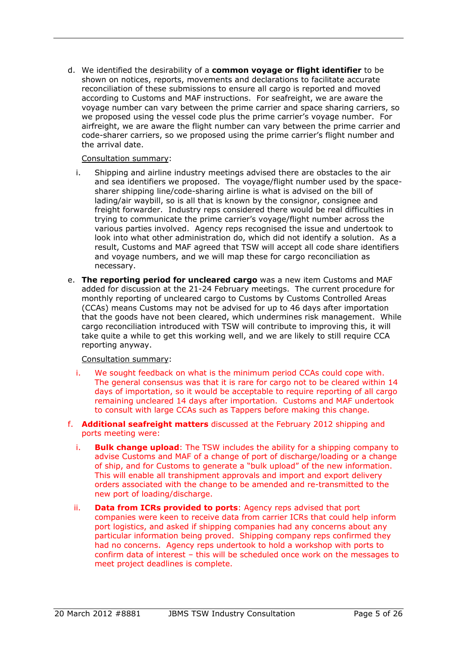d. We identified the desirability of a **common voyage or flight identifier** to be shown on notices, reports, movements and declarations to facilitate accurate reconciliation of these submissions to ensure all cargo is reported and moved according to Customs and MAF instructions. For seafreight, we are aware the voyage number can vary between the prime carrier and space sharing carriers, so we proposed using the vessel code plus the prime carrier's voyage number. For airfreight, we are aware the flight number can vary between the prime carrier and code-sharer carriers, so we proposed using the prime carrier's flight number and the arrival date.

#### Consultation summary:

- i. Shipping and airline industry meetings advised there are obstacles to the air and sea identifiers we proposed. The voyage/flight number used by the spacesharer shipping line/code-sharing airline is what is advised on the bill of lading/air waybill, so is all that is known by the consignor, consignee and freight forwarder. Industry reps considered there would be real difficulties in trying to communicate the prime carrier's voyage/flight number across the various parties involved. Agency reps recognised the issue and undertook to look into what other administration do, which did not identify a solution. As a result, Customs and MAF agreed that TSW will accept all code share identifiers and voyage numbers, and we will map these for cargo reconciliation as necessary.
- e. **The reporting period for uncleared cargo** was a new item Customs and MAF added for discussion at the 21-24 February meetings. The current procedure for monthly reporting of uncleared cargo to Customs by Customs Controlled Areas (CCAs) means Customs may not be advised for up to 46 days after importation that the goods have not been cleared, which undermines risk management. While cargo reconciliation introduced with TSW will contribute to improving this, it will take quite a while to get this working well, and we are likely to still require CCA reporting anyway.

- i. We sought feedback on what is the minimum period CCAs could cope with. The general consensus was that it is rare for cargo not to be cleared within 14 days of importation, so it would be acceptable to require reporting of all cargo remaining uncleared 14 days after importation. Customs and MAF undertook to consult with large CCAs such as Tappers before making this change.
- f. **Additional seafreight matters** discussed at the February 2012 shipping and ports meeting were:
	- i. **Bulk change upload**: The TSW includes the ability for a shipping company to advise Customs and MAF of a change of port of discharge/loading or a change of ship, and for Customs to generate a "bulk upload" of the new information. This will enable all transhipment approvals and import and export delivery orders associated with the change to be amended and re-transmitted to the new port of loading/discharge.
	- ii. **Data from ICRs provided to ports**: Agency reps advised that port companies were keen to receive data from carrier ICRs that could help inform port logistics, and asked if shipping companies had any concerns about any particular information being proved. Shipping company reps confirmed they had no concerns. Agency reps undertook to hold a workshop with ports to confirm data of interest – this will be scheduled once work on the messages to meet project deadlines is complete.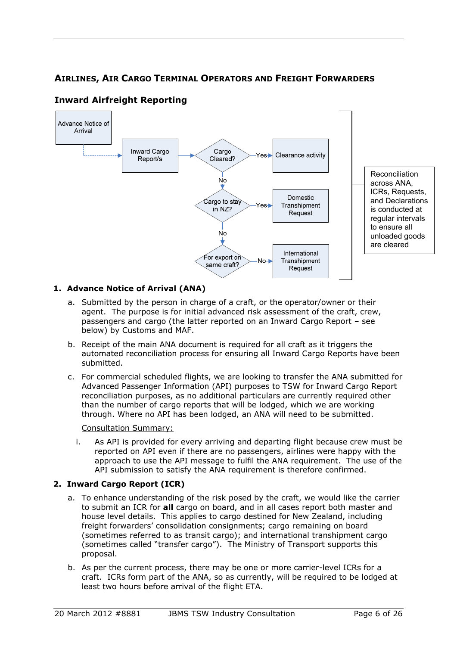## <span id="page-5-0"></span>**AIRLINES, AIR CARGO TERMINAL OPERATORS AND FREIGHT FORWARDERS**



## <span id="page-5-1"></span>**Inward Airfreight Reporting**

#### **1. Advance Notice of Arrival (ANA)**

- a. Submitted by the person in charge of a craft, or the operator/owner or their agent. The purpose is for initial advanced risk assessment of the craft, crew, passengers and cargo (the latter reported on an Inward Cargo Report – see below) by Customs and MAF.
- b. Receipt of the main ANA document is required for all craft as it triggers the automated reconciliation process for ensuring all Inward Cargo Reports have been submitted.
- c. For commercial scheduled flights, we are looking to transfer the ANA submitted for Advanced Passenger Information (API) purposes to TSW for Inward Cargo Report reconciliation purposes, as no additional particulars are currently required other than the number of cargo reports that will be lodged, which we are working through. Where no API has been lodged, an ANA will need to be submitted.

#### Consultation Summary:

i. As API is provided for every arriving and departing flight because crew must be reported on API even if there are no passengers, airlines were happy with the approach to use the API message to fulfil the ANA requirement. The use of the API submission to satisfy the ANA requirement is therefore confirmed.

#### **2. Inward Cargo Report (ICR)**

- a. To enhance understanding of the risk posed by the craft, we would like the carrier to submit an ICR for **all** cargo on board, and in all cases report both master and house level details. This applies to cargo destined for New Zealand, including freight forwarders' consolidation consignments; cargo remaining on board (sometimes referred to as transit cargo); and international transhipment cargo (sometimes called "transfer cargo"). The Ministry of Transport supports this proposal.
- b. As per the current process, there may be one or more carrier-level ICRs for a craft. ICRs form part of the ANA, so as currently, will be required to be lodged at least two hours before arrival of the flight ETA.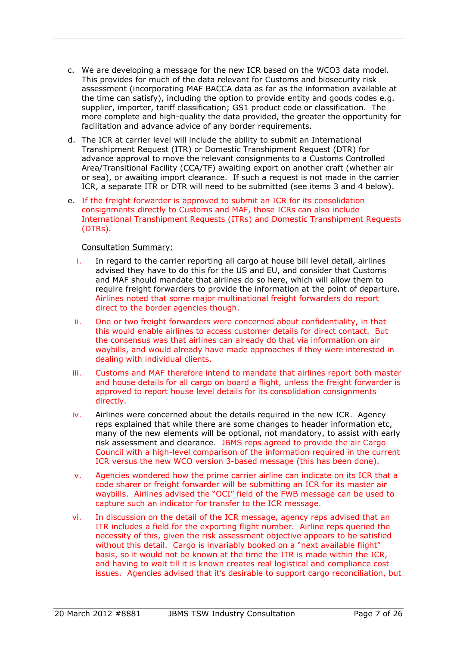- c. We are developing a message for the new ICR based on the WCO3 data model. This provides for much of the data relevant for Customs and biosecurity risk assessment (incorporating MAF BACCA data as far as the information available at the time can satisfy), including the option to provide entity and goods codes e.g. supplier, importer, tariff classification; GS1 product code or classification. The more complete and high-quality the data provided, the greater the opportunity for facilitation and advance advice of any border requirements.
- d. The ICR at carrier level will include the ability to submit an International Transhipment Request (ITR) or Domestic Transhipment Request (DTR) for advance approval to move the relevant consignments to a Customs Controlled Area/Transitional Facility (CCA/TF) awaiting export on another craft (whether air or sea), or awaiting import clearance. If such a request is not made in the carrier ICR, a separate ITR or DTR will need to be submitted (see items 3 and 4 below).
- e. If the freight forwarder is approved to submit an ICR for its consolidation consignments directly to Customs and MAF, those ICRs can also include International Transhipment Requests (ITRs) and Domestic Transhipment Requests (DTRs).

- i. In regard to the carrier reporting all cargo at house bill level detail, airlines advised they have to do this for the US and EU, and consider that Customs and MAF should mandate that airlines do so here, which will allow them to require freight forwarders to provide the information at the point of departure. Airlines noted that some major multinational freight forwarders do report direct to the border agencies though.
- ii. One or two freight forwarders were concerned about confidentiality, in that this would enable airlines to access customer details for direct contact. But the consensus was that airlines can already do that via information on air waybills, and would already have made approaches if they were interested in dealing with individual clients.
- iii. Customs and MAF therefore intend to mandate that airlines report both master and house details for all cargo on board a flight, unless the freight forwarder is approved to report house level details for its consolidation consignments directly.
- iv. Airlines were concerned about the details required in the new ICR. Agency reps explained that while there are some changes to header information etc, many of the new elements will be optional, not mandatory, to assist with early risk assessment and clearance. JBMS reps agreed to provide the air Cargo Council with a high-level comparison of the information required in the current ICR versus the new WCO version 3-based message (this has been done).
- v. Agencies wondered how the prime carrier airline can indicate on its ICR that a code sharer or freight forwarder will be submitting an ICR for its master air waybills. Airlines advised the "OCI" field of the FWB message can be used to capture such an indicator for transfer to the ICR message.
- vi. In discussion on the detail of the ICR message, agency reps advised that an ITR includes a field for the exporting flight number. Airline reps queried the necessity of this, given the risk assessment objective appears to be satisfied without this detail. Cargo is invariably booked on a "next available flight" basis, so it would not be known at the time the ITR is made within the ICR, and having to wait till it is known creates real logistical and compliance cost issues. Agencies advised that it's desirable to support cargo reconciliation, but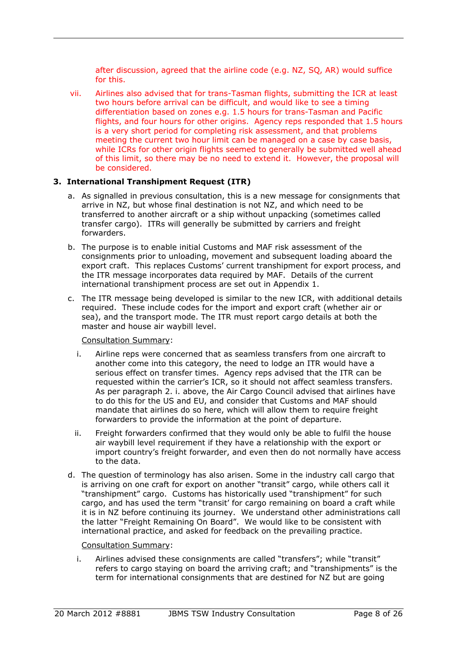after discussion, agreed that the airline code (e.g. NZ, SQ, AR) would suffice for this.

vii. Airlines also advised that for trans-Tasman flights, submitting the ICR at least two hours before arrival can be difficult, and would like to see a timing differentiation based on zones e.g. 1.5 hours for trans-Tasman and Pacific flights, and four hours for other origins. Agency reps responded that 1.5 hours is a very short period for completing risk assessment, and that problems meeting the current two hour limit can be managed on a case by case basis, while ICRs for other origin flights seemed to generally be submitted well ahead of this limit, so there may be no need to extend it. However, the proposal will be considered.

#### **3. International Transhipment Request (ITR)**

- a. As signalled in previous consultation, this is a new message for consignments that arrive in NZ, but whose final destination is not NZ, and which need to be transferred to another aircraft or a ship without unpacking (sometimes called transfer cargo). ITRs will generally be submitted by carriers and freight forwarders.
- b. The purpose is to enable initial Customs and MAF risk assessment of the consignments prior to unloading, movement and subsequent loading aboard the export craft. This replaces Customs' current transhipment for export process, and the ITR message incorporates data required by MAF. Details of the current international transhipment process are set out in Appendix 1.
- c. The ITR message being developed is similar to the new ICR, with additional details required. These include codes for the import and export craft (whether air or sea), and the transport mode. The ITR must report cargo details at both the master and house air waybill level.

#### Consultation Summary:

- i. Airline reps were concerned that as seamless transfers from one aircraft to another come into this category, the need to lodge an ITR would have a serious effect on transfer times. Agency reps advised that the ITR can be requested within the carrier's ICR, so it should not affect seamless transfers. As per paragraph 2. i. above, the Air Cargo Council advised that airlines have to do this for the US and EU, and consider that Customs and MAF should mandate that airlines do so here, which will allow them to require freight forwarders to provide the information at the point of departure.
- ii. Freight forwarders confirmed that they would only be able to fulfil the house air waybill level requirement if they have a relationship with the export or import country's freight forwarder, and even then do not normally have access to the data.
- d. The question of terminology has also arisen. Some in the industry call cargo that is arriving on one craft for export on another "transit" cargo, while others call it "transhipment" cargo. Customs has historically used "transhipment" for such cargo, and has used the term "transit' for cargo remaining on board a craft while it is in NZ before continuing its journey. We understand other administrations call the latter "Freight Remaining On Board". We would like to be consistent with international practice, and asked for feedback on the prevailing practice.

#### Consultation Summary:

i. Airlines advised these consignments are called "transfers"; while "transit" refers to cargo staying on board the arriving craft; and "transhipments" is the term for international consignments that are destined for NZ but are going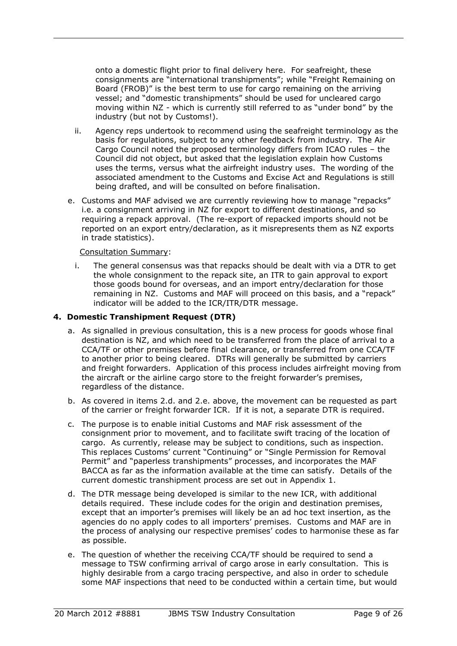onto a domestic flight prior to final delivery here. For seafreight, these consignments are "international transhipments"; while "Freight Remaining on Board (FROB)" is the best term to use for cargo remaining on the arriving vessel; and "domestic transhipments" should be used for uncleared cargo moving within NZ - which is currently still referred to as "under bond" by the industry (but not by Customs!).

- ii. Agency reps undertook to recommend using the seafreight terminology as the basis for regulations, subject to any other feedback from industry. The Air Cargo Council noted the proposed terminology differs from ICAO rules – the Council did not object, but asked that the legislation explain how Customs uses the terms, versus what the airfreight industry uses. The wording of the associated amendment to the Customs and Excise Act and Regulations is still being drafted, and will be consulted on before finalisation.
- e. Customs and MAF advised we are currently reviewing how to manage "repacks" i.e. a consignment arriving in NZ for export to different destinations, and so requiring a repack approval. (The re-export of repacked imports should not be reported on an export entry/declaration, as it misrepresents them as NZ exports in trade statistics).

#### Consultation Summary:

i. The general consensus was that repacks should be dealt with via a DTR to get the whole consignment to the repack site, an ITR to gain approval to export those goods bound for overseas, and an import entry/declaration for those remaining in NZ. Customs and MAF will proceed on this basis, and a "repack" indicator will be added to the ICR/ITR/DTR message.

#### **4. Domestic Transhipment Request (DTR)**

- a. As signalled in previous consultation, this is a new process for goods whose final destination is NZ, and which need to be transferred from the place of arrival to a CCA/TF or other premises before final clearance, or transferred from one CCA/TF to another prior to being cleared. DTRs will generally be submitted by carriers and freight forwarders. Application of this process includes airfreight moving from the aircraft or the airline cargo store to the freight forwarder's premises, regardless of the distance.
- b. As covered in items 2.d. and 2.e. above, the movement can be requested as part of the carrier or freight forwarder ICR. If it is not, a separate DTR is required.
- c. The purpose is to enable initial Customs and MAF risk assessment of the consignment prior to movement, and to facilitate swift tracing of the location of cargo. As currently, release may be subject to conditions, such as inspection. This replaces Customs' current "Continuing" or "Single Permission for Removal Permit" and "paperless transhipments" processes, and incorporates the MAF BACCA as far as the information available at the time can satisfy. Details of the current domestic transhipment process are set out in Appendix 1.
- d. The DTR message being developed is similar to the new ICR, with additional details required. These include codes for the origin and destination premises, except that an importer's premises will likely be an ad hoc text insertion, as the agencies do no apply codes to all importers' premises. Customs and MAF are in the process of analysing our respective premises' codes to harmonise these as far as possible.
- e. The question of whether the receiving CCA/TF should be required to send a message to TSW confirming arrival of cargo arose in early consultation. This is highly desirable from a cargo tracing perspective, and also in order to schedule some MAF inspections that need to be conducted within a certain time, but would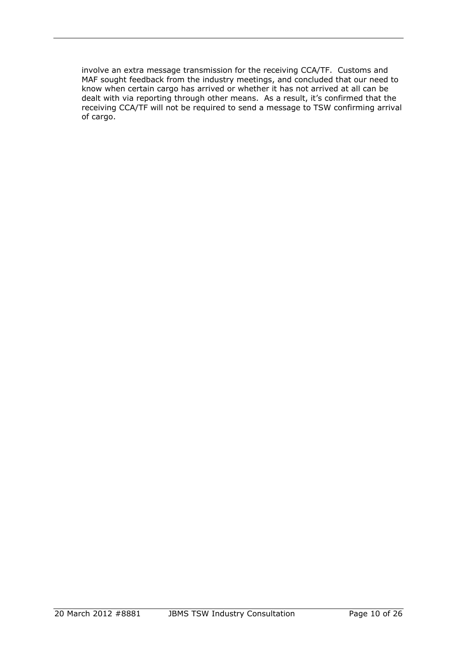involve an extra message transmission for the receiving CCA/TF. Customs and MAF sought feedback from the industry meetings, and concluded that our need to know when certain cargo has arrived or whether it has not arrived at all can be dealt with via reporting through other means. As a result, it's confirmed that the receiving CCA/TF will not be required to send a message to TSW confirming arrival of cargo.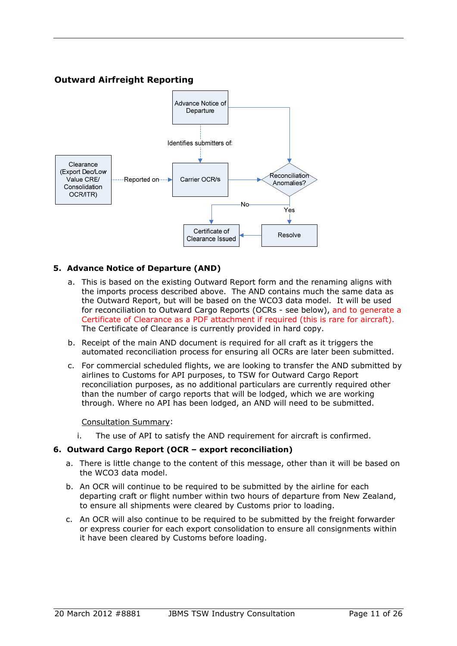## **Outward Airfreight Reporting**

<span id="page-10-0"></span>

#### **5. Advance Notice of Departure (AND)**

- a. This is based on the existing Outward Report form and the renaming aligns with the imports process described above. The AND contains much the same data as the Outward Report, but will be based on the WCO3 data model. It will be used for reconciliation to Outward Cargo Reports (OCRs - see below), and to generate a Certificate of Clearance as a PDF attachment if required (this is rare for aircraft). The Certificate of Clearance is currently provided in hard copy.
- b. Receipt of the main AND document is required for all craft as it triggers the automated reconciliation process for ensuring all OCRs are later been submitted.
- c. For commercial scheduled flights, we are looking to transfer the AND submitted by airlines to Customs for API purposes, to TSW for Outward Cargo Report reconciliation purposes, as no additional particulars are currently required other than the number of cargo reports that will be lodged, which we are working through. Where no API has been lodged, an AND will need to be submitted.

#### Consultation Summary:

i. The use of API to satisfy the AND requirement for aircraft is confirmed.

#### **6. Outward Cargo Report (OCR – export reconciliation)**

- a. There is little change to the content of this message, other than it will be based on the WCO3 data model.
- b. An OCR will continue to be required to be submitted by the airline for each departing craft or flight number within two hours of departure from New Zealand, to ensure all shipments were cleared by Customs prior to loading.
- c. An OCR will also continue to be required to be submitted by the freight forwarder or express courier for each export consolidation to ensure all consignments within it have been cleared by Customs before loading.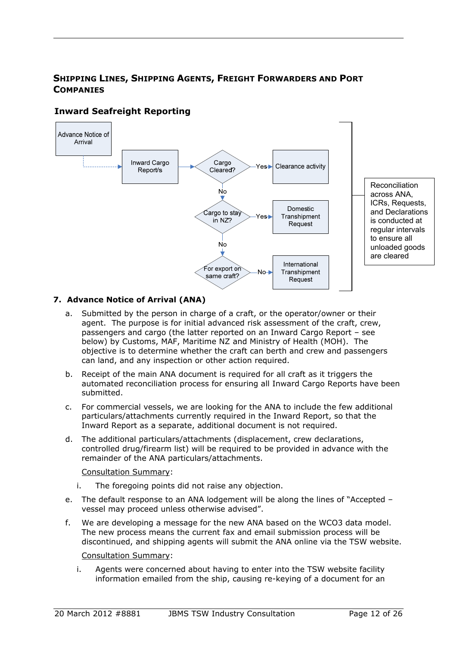<span id="page-11-1"></span>

## <span id="page-11-0"></span>**SHIPPING LINES, SHIPPING AGENTS, FREIGHT FORWARDERS AND PORT COMPANIES**

## **Inward Seafreight Reporting**

### **7. Advance Notice of Arrival (ANA)**

- a. Submitted by the person in charge of a craft, or the operator/owner or their agent. The purpose is for initial advanced risk assessment of the craft, crew, passengers and cargo (the latter reported on an Inward Cargo Report – see below) by Customs, MAF, Maritime NZ and Ministry of Health (MOH). The objective is to determine whether the craft can berth and crew and passengers can land, and any inspection or other action required.
- b. Receipt of the main ANA document is required for all craft as it triggers the automated reconciliation process for ensuring all Inward Cargo Reports have been submitted.
- c. For commercial vessels, we are looking for the ANA to include the few additional particulars/attachments currently required in the Inward Report, so that the Inward Report as a separate, additional document is not required.
- d. The additional particulars/attachments (displacement, crew declarations, controlled drug/firearm list) will be required to be provided in advance with the remainder of the ANA particulars/attachments.

Consultation Summary:

- i. The foregoing points did not raise any objection.
- e. The default response to an ANA lodgement will be along the lines of "Accepted vessel may proceed unless otherwise advised".
- f. We are developing a message for the new ANA based on the WCO3 data model. The new process means the current fax and email submission process will be discontinued, and shipping agents will submit the ANA online via the TSW website.

#### Consultation Summary:

i. Agents were concerned about having to enter into the TSW website facility information emailed from the ship, causing re-keying of a document for an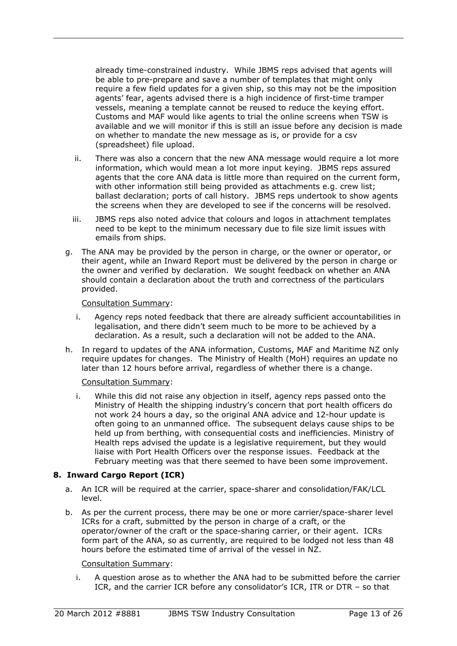already time-constrained industry. While JBMS reps advised that agents will be able to pre-prepare and save a number of templates that might only require a few field updates for a given ship, so this may not be the imposition agents' fear, agents advised there is a high incidence of first-time tramper vessels, meaning a template cannot be reused to reduce the keying effort. Customs and MAF would like agents to trial the online screens when TSW is available and we will monitor if this is still an issue before any decision is made on whether to mandate the new message as is, or provide for a csv (spreadsheet) file upload.

- ii. There was also a concern that the new ANA message would require a lot more information, which would mean a lot more input keying. JBMS reps assured agents that the core ANA data is little more than required on the current form, with other information still being provided as attachments e.g. crew list; ballast declaration; ports of call history. JBMS reps undertook to show agents the screens when they are developed to see if the concerns will be resolved.
- iii. JBMS reps also noted advice that colours and logos in attachment templates need to be kept to the minimum necessary due to file size limit issues with emails from ships.
- g. The ANA may be provided by the person in charge, or the owner or operator, or their agent, while an Inward Report must be delivered by the person in charge or the owner and verified by declaration. We sought feedback on whether an ANA should contain a declaration about the truth and correctness of the particulars provided.

#### Consultation Summary:

- i. Agency reps noted feedback that there are already sufficient accountabilities in legalisation, and there didn't seem much to be more to be achieved by a declaration. As a result, such a declaration will not be added to the ANA.
- h. In regard to updates of the ANA information, Customs, MAF and Maritime NZ only require updates for changes. The Ministry of Health (MoH) requires an update no later than 12 hours before arrival, regardless of whether there is a change.

#### Consultation Summary:

i. While this did not raise any objection in itself, agency reps passed onto the Ministry of Health the shipping industry's concern that port health officers do not work 24 hours a day, so the original ANA advice and 12-hour update is often going to an unmanned office. The subsequent delays cause ships to be held up from berthing, with consequential costs and inefficiencies. Ministry of Health reps advised the update is a legislative requirement, but they would liaise with Port Health Officers over the response issues. Feedback at the February meeting was that there seemed to have been some improvement.

#### **8. Inward Cargo Report (ICR)**

- a. An ICR will be required at the carrier, space-sharer and consolidation/FAK/LCL level.
- b. As per the current process, there may be one or more carrier/space-sharer level ICRs for a craft, submitted by the person in charge of a craft, or the operator/owner of the craft or the space-sharing carrier, or their agent. ICRs form part of the ANA, so as currently, are required to be lodged not less than 48 hours before the estimated time of arrival of the vessel in NZ.

#### Consultation Summary:

i. A question arose as to whether the ANA had to be submitted before the carrier ICR, and the carrier ICR before any consolidator's ICR, ITR or DTR – so that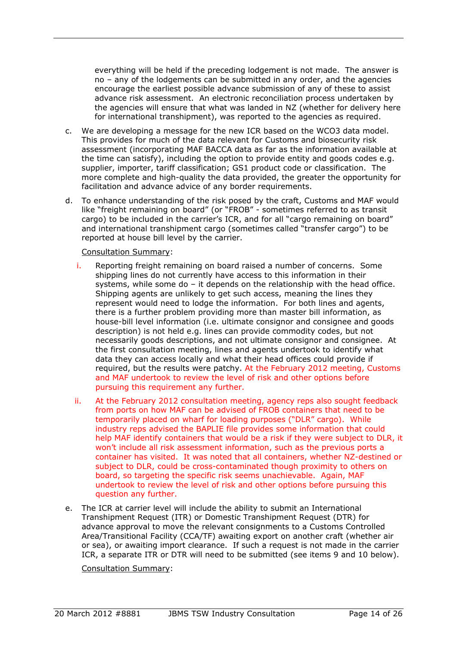everything will be held if the preceding lodgement is not made. The answer is no – any of the lodgements can be submitted in any order, and the agencies encourage the earliest possible advance submission of any of these to assist advance risk assessment. An electronic reconciliation process undertaken by the agencies will ensure that what was landed in NZ (whether for delivery here for international transhipment), was reported to the agencies as required.

- c. We are developing a message for the new ICR based on the WCO3 data model. This provides for much of the data relevant for Customs and biosecurity risk assessment (incorporating MAF BACCA data as far as the information available at the time can satisfy), including the option to provide entity and goods codes e.g. supplier, importer, tariff classification; GS1 product code or classification. The more complete and high-quality the data provided, the greater the opportunity for facilitation and advance advice of any border requirements.
- d. To enhance understanding of the risk posed by the craft, Customs and MAF would like "freight remaining on board" (or "FROB" - sometimes referred to as transit cargo) to be included in the carrier's ICR, and for all "cargo remaining on board" and international transhipment cargo (sometimes called "transfer cargo") to be reported at house bill level by the carrier.

#### Consultation Summary:

- i. Reporting freight remaining on board raised a number of concerns. Some shipping lines do not currently have access to this information in their systems, while some do – it depends on the relationship with the head office. Shipping agents are unlikely to get such access, meaning the lines they represent would need to lodge the information. For both lines and agents, there is a further problem providing more than master bill information, as house-bill level information (i.e. ultimate consignor and consignee and goods description) is not held e.g. lines can provide commodity codes, but not necessarily goods descriptions, and not ultimate consignor and consignee. At the first consultation meeting, lines and agents undertook to identify what data they can access locally and what their head offices could provide if required, but the results were patchy. At the February 2012 meeting, Customs and MAF undertook to review the level of risk and other options before pursuing this requirement any further.
- ii. At the February 2012 consultation meeting, agency reps also sought feedback from ports on how MAF can be advised of FROB containers that need to be temporarily placed on wharf for loading purposes ("DLR" cargo). While industry reps advised the BAPLIE file provides some information that could help MAF identify containers that would be a risk if they were subject to DLR, it won't include all risk assessment information, such as the previous ports a container has visited. It was noted that all containers, whether NZ-destined or subject to DLR, could be cross-contaminated though proximity to others on board, so targeting the specific risk seems unachievable. Again, MAF undertook to review the level of risk and other options before pursuing this question any further.
- e. The ICR at carrier level will include the ability to submit an International Transhipment Request (ITR) or Domestic Transhipment Request (DTR) for advance approval to move the relevant consignments to a Customs Controlled Area/Transitional Facility (CCA/TF) awaiting export on another craft (whether air or sea), or awaiting import clearance. If such a request is not made in the carrier ICR, a separate ITR or DTR will need to be submitted (see items 9 and 10 below).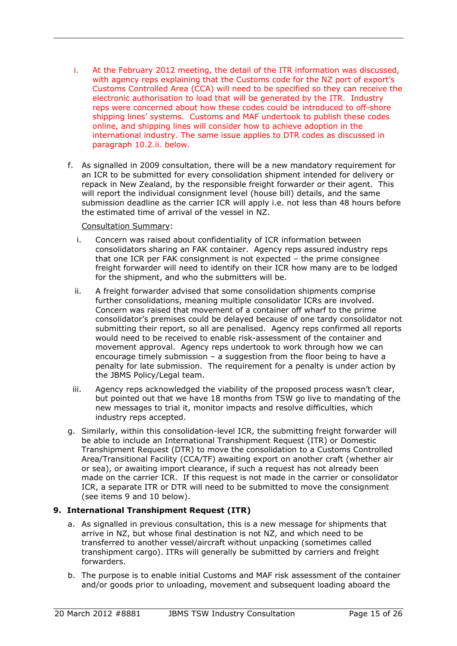- i. At the February 2012 meeting, the detail of the ITR information was discussed, with agency reps explaining that the Customs code for the NZ port of export's Customs Controlled Area (CCA) will need to be specified so they can receive the electronic authorisation to load that will be generated by the ITR. Industry reps were concerned about how these codes could be introduced to off-shore shipping lines' systems. Customs and MAF undertook to publish these codes online, and shipping lines will consider how to achieve adoption in the international industry. The same issue applies to DTR codes as discussed in paragraph 10.2.ii. below.
- f. As signalled in 2009 consultation, there will be a new mandatory requirement for an ICR to be submitted for every consolidation shipment intended for delivery or repack in New Zealand, by the responsible freight forwarder or their agent. This will report the individual consignment level (house bill) details, and the same submission deadline as the carrier ICR will apply i.e. not less than 48 hours before the estimated time of arrival of the vessel in NZ.

#### Consultation Summary:

- i. Concern was raised about confidentiality of ICR information between consolidators sharing an FAK container. Agency reps assured industry reps that one ICR per FAK consignment is not expected – the prime consignee freight forwarder will need to identify on their ICR how many are to be lodged for the shipment, and who the submitters will be.
- ii. A freight forwarder advised that some consolidation shipments comprise further consolidations, meaning multiple consolidator ICRs are involved. Concern was raised that movement of a container off wharf to the prime consolidator's premises could be delayed because of one tardy consolidator not submitting their report, so all are penalised. Agency reps confirmed all reports would need to be received to enable risk-assessment of the container and movement approval. Agency reps undertook to work through how we can encourage timely submission – a suggestion from the floor being to have a penalty for late submission. The requirement for a penalty is under action by the JBMS Policy/Legal team.
- iii. Agency reps acknowledged the viability of the proposed process wasn't clear, but pointed out that we have 18 months from TSW go live to mandating of the new messages to trial it, monitor impacts and resolve difficulties, which industry reps accepted.
- g. Similarly, within this consolidation-level ICR, the submitting freight forwarder will be able to include an International Transhipment Request (ITR) or Domestic Transhipment Request (DTR) to move the consolidation to a Customs Controlled Area/Transitional Facility (CCA/TF) awaiting export on another craft (whether air or sea), or awaiting import clearance, if such a request has not already been made on the carrier ICR. If this request is not made in the carrier or consolidator ICR, a separate ITR or DTR will need to be submitted to move the consignment (see items 9 and 10 below).

#### **9. International Transhipment Request (ITR)**

- a. As signalled in previous consultation, this is a new message for shipments that arrive in NZ, but whose final destination is not NZ, and which need to be transferred to another vessel/aircraft without unpacking (sometimes called transhipment cargo). ITRs will generally be submitted by carriers and freight forwarders.
- b. The purpose is to enable initial Customs and MAF risk assessment of the container and/or goods prior to unloading, movement and subsequent loading aboard the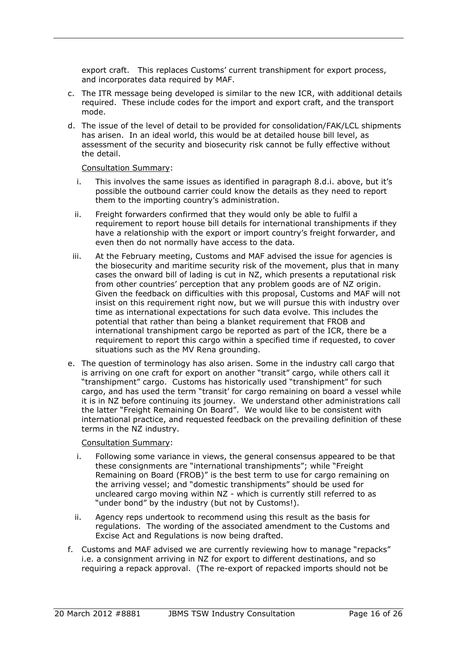export craft. This replaces Customs' current transhipment for export process, and incorporates data required by MAF.

- c. The ITR message being developed is similar to the new ICR, with additional details required. These include codes for the import and export craft, and the transport mode.
- d. The issue of the level of detail to be provided for consolidation/FAK/LCL shipments has arisen. In an ideal world, this would be at detailed house bill level, as assessment of the security and biosecurity risk cannot be fully effective without the detail.

#### Consultation Summary:

- i. This involves the same issues as identified in paragraph 8.d.i. above, but it's possible the outbound carrier could know the details as they need to report them to the importing country's administration.
- ii. Freight forwarders confirmed that they would only be able to fulfil a requirement to report house bill details for international transhipments if they have a relationship with the export or import country's freight forwarder, and even then do not normally have access to the data.
- iii. At the February meeting, Customs and MAF advised the issue for agencies is the biosecurity and maritime security risk of the movement, plus that in many cases the onward bill of lading is cut in NZ, which presents a reputational risk from other countries' perception that any problem goods are of NZ origin. Given the feedback on difficulties with this proposal, Customs and MAF will not insist on this requirement right now, but we will pursue this with industry over time as international expectations for such data evolve. This includes the potential that rather than being a blanket requirement that FROB and international transhipment cargo be reported as part of the ICR, there be a requirement to report this cargo within a specified time if requested, to cover situations such as the MV Rena grounding.
- e. The question of terminology has also arisen. Some in the industry call cargo that is arriving on one craft for export on another "transit" cargo, while others call it "transhipment" cargo. Customs has historically used "transhipment" for such cargo, and has used the term "transit' for cargo remaining on board a vessel while it is in NZ before continuing its journey. We understand other administrations call the latter "Freight Remaining On Board". We would like to be consistent with international practice, and requested feedback on the prevailing definition of these terms in the NZ industry.

- i. Following some variance in views, the general consensus appeared to be that these consignments are "international transhipments"; while "Freight Remaining on Board (FROB)" is the best term to use for cargo remaining on the arriving vessel; and "domestic transhipments" should be used for uncleared cargo moving within NZ - which is currently still referred to as "under bond" by the industry (but not by Customs!).
- ii. Agency reps undertook to recommend using this result as the basis for regulations. The wording of the associated amendment to the Customs and Excise Act and Regulations is now being drafted.
- f. Customs and MAF advised we are currently reviewing how to manage "repacks" i.e. a consignment arriving in NZ for export to different destinations, and so requiring a repack approval. (The re-export of repacked imports should not be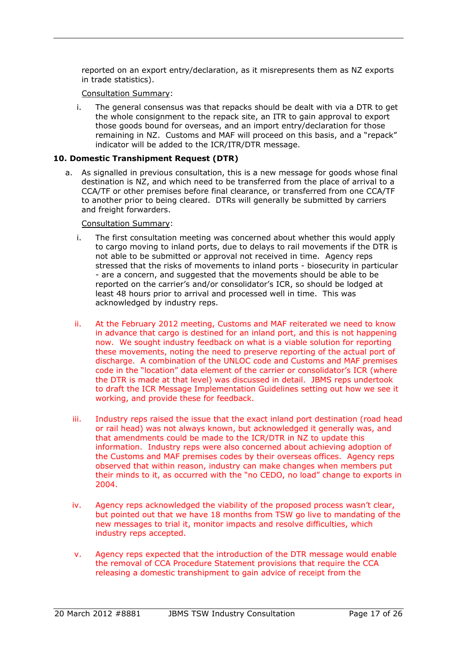reported on an export entry/declaration, as it misrepresents them as NZ exports in trade statistics).

Consultation Summary:

i. The general consensus was that repacks should be dealt with via a DTR to get the whole consignment to the repack site, an ITR to gain approval to export those goods bound for overseas, and an import entry/declaration for those remaining in NZ. Customs and MAF will proceed on this basis, and a "repack" indicator will be added to the ICR/ITR/DTR message.

#### **10. Domestic Transhipment Request (DTR)**

a. As signalled in previous consultation, this is a new message for goods whose final destination is NZ, and which need to be transferred from the place of arrival to a CCA/TF or other premises before final clearance, or transferred from one CCA/TF to another prior to being cleared. DTRs will generally be submitted by carriers and freight forwarders.

- i. The first consultation meeting was concerned about whether this would apply to cargo moving to inland ports, due to delays to rail movements if the DTR is not able to be submitted or approval not received in time. Agency reps stressed that the risks of movements to inland ports - biosecurity in particular - are a concern, and suggested that the movements should be able to be reported on the carrier's and/or consolidator's ICR, so should be lodged at least 48 hours prior to arrival and processed well in time. This was acknowledged by industry reps.
- ii. At the February 2012 meeting, Customs and MAF reiterated we need to know in advance that cargo is destined for an inland port, and this is not happening now. We sought industry feedback on what is a viable solution for reporting these movements, noting the need to preserve reporting of the actual port of discharge. A combination of the UNLOC code and Customs and MAF premises code in the "location" data element of the carrier or consolidator's ICR (where the DTR is made at that level) was discussed in detail. JBMS reps undertook to draft the ICR Message Implementation Guidelines setting out how we see it working, and provide these for feedback.
- iii. Industry reps raised the issue that the exact inland port destination (road head or rail head) was not always known, but acknowledged it generally was, and that amendments could be made to the ICR/DTR in NZ to update this information. Industry reps were also concerned about achieving adoption of the Customs and MAF premises codes by their overseas offices. Agency reps observed that within reason, industry can make changes when members put their minds to it, as occurred with the "no CEDO, no load" change to exports in 2004.
- iv. Agency reps acknowledged the viability of the proposed process wasn't clear, but pointed out that we have 18 months from TSW go live to mandating of the new messages to trial it, monitor impacts and resolve difficulties, which industry reps accepted.
- v. Agency reps expected that the introduction of the DTR message would enable the removal of CCA Procedure Statement provisions that require the CCA releasing a domestic transhipment to gain advice of receipt from the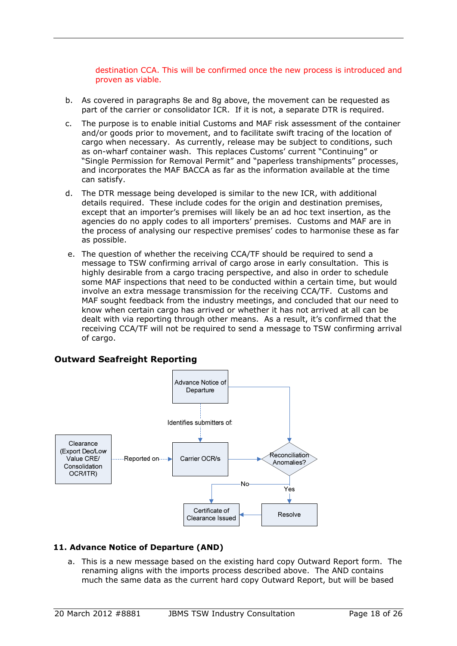destination CCA. This will be confirmed once the new process is introduced and proven as viable.

- b. As covered in paragraphs 8e and 8g above, the movement can be requested as part of the carrier or consolidator ICR. If it is not, a separate DTR is required.
- c. The purpose is to enable initial Customs and MAF risk assessment of the container and/or goods prior to movement, and to facilitate swift tracing of the location of cargo when necessary. As currently, release may be subject to conditions, such as on-wharf container wash. This replaces Customs' current "Continuing" or "Single Permission for Removal Permit" and "paperless transhipments" processes, and incorporates the MAF BACCA as far as the information available at the time can satisfy.
- d. The DTR message being developed is similar to the new ICR, with additional details required. These include codes for the origin and destination premises, except that an importer's premises will likely be an ad hoc text insertion, as the agencies do no apply codes to all importers' premises. Customs and MAF are in the process of analysing our respective premises' codes to harmonise these as far as possible.
- e. The question of whether the receiving CCA/TF should be required to send a message to TSW confirming arrival of cargo arose in early consultation. This is highly desirable from a cargo tracing perspective, and also in order to schedule some MAF inspections that need to be conducted within a certain time, but would involve an extra message transmission for the receiving CCA/TF. Customs and MAF sought feedback from the industry meetings, and concluded that our need to know when certain cargo has arrived or whether it has not arrived at all can be dealt with via reporting through other means. As a result, it's confirmed that the receiving CCA/TF will not be required to send a message to TSW confirming arrival of cargo.

#### **Outward Seafreight Reporting**

<span id="page-17-0"></span>

#### **11. Advance Notice of Departure (AND)**

a. This is a new message based on the existing hard copy Outward Report form. The renaming aligns with the imports process described above. The AND contains much the same data as the current hard copy Outward Report, but will be based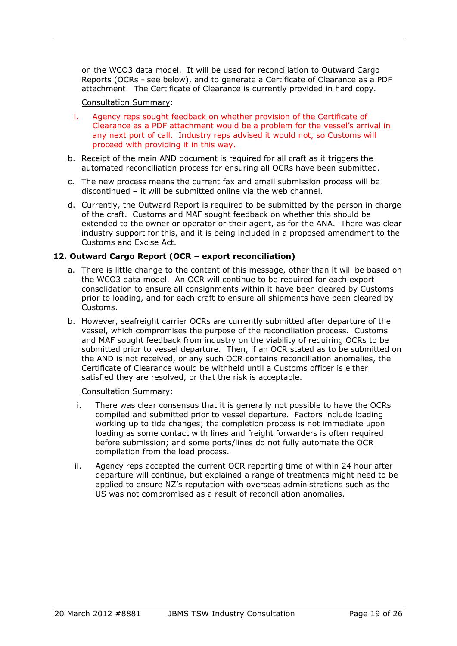on the WCO3 data model. It will be used for reconciliation to Outward Cargo Reports (OCRs - see below), and to generate a Certificate of Clearance as a PDF attachment. The Certificate of Clearance is currently provided in hard copy.

#### Consultation Summary:

- i. Agency reps sought feedback on whether provision of the Certificate of Clearance as a PDF attachment would be a problem for the vessel's arrival in any next port of call. Industry reps advised it would not, so Customs will proceed with providing it in this way.
- b. Receipt of the main AND document is required for all craft as it triggers the automated reconciliation process for ensuring all OCRs have been submitted.
- c. The new process means the current fax and email submission process will be discontinued – it will be submitted online via the web channel.
- d. Currently, the Outward Report is required to be submitted by the person in charge of the craft. Customs and MAF sought feedback on whether this should be extended to the owner or operator or their agent, as for the ANA. There was clear industry support for this, and it is being included in a proposed amendment to the Customs and Excise Act.

#### **12. Outward Cargo Report (OCR – export reconciliation)**

- a. There is little change to the content of this message, other than it will be based on the WCO3 data model. An OCR will continue to be required for each export consolidation to ensure all consignments within it have been cleared by Customs prior to loading, and for each craft to ensure all shipments have been cleared by Customs.
- b. However, seafreight carrier OCRs are currently submitted after departure of the vessel, which compromises the purpose of the reconciliation process. Customs and MAF sought feedback from industry on the viability of requiring OCRs to be submitted prior to vessel departure. Then, if an OCR stated as to be submitted on the AND is not received, or any such OCR contains reconciliation anomalies, the Certificate of Clearance would be withheld until a Customs officer is either satisfied they are resolved, or that the risk is acceptable.

- i. There was clear consensus that it is generally not possible to have the OCRs compiled and submitted prior to vessel departure. Factors include loading working up to tide changes; the completion process is not immediate upon loading as some contact with lines and freight forwarders is often required before submission; and some ports/lines do not fully automate the OCR compilation from the load process.
- ii. Agency reps accepted the current OCR reporting time of within 24 hour after departure will continue, but explained a range of treatments might need to be applied to ensure NZ's reputation with overseas administrations such as the US was not compromised as a result of reconciliation anomalies.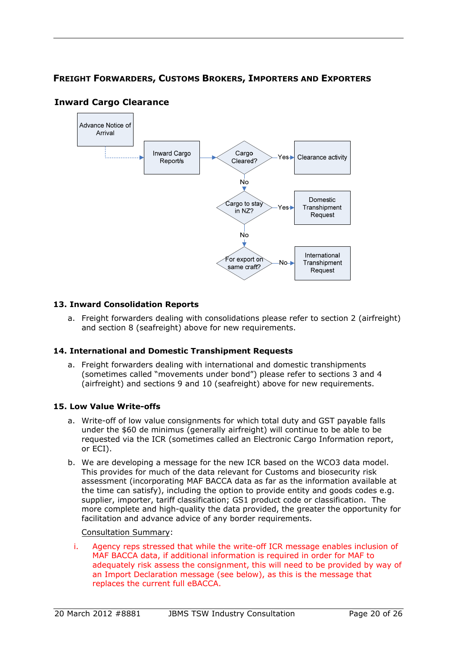## <span id="page-19-0"></span>**FREIGHT FORWARDERS, CUSTOMS BROKERS, IMPORTERS AND EXPORTERS**



## <span id="page-19-1"></span>**Inward Cargo Clearance**

#### **13. Inward Consolidation Reports**

a. Freight forwarders dealing with consolidations please refer to section 2 (airfreight) and section 8 (seafreight) above for new requirements.

#### **14. International and Domestic Transhipment Requests**

a. Freight forwarders dealing with international and domestic transhipments (sometimes called "movements under bond") please refer to sections 3 and 4 (airfreight) and sections 9 and 10 (seafreight) above for new requirements.

#### **15. Low Value Write-offs**

- a. Write-off of low value consignments for which total duty and GST payable falls under the \$60 de minimus (generally airfreight) will continue to be able to be requested via the ICR (sometimes called an Electronic Cargo Information report, or ECI).
- b. We are developing a message for the new ICR based on the WCO3 data model. This provides for much of the data relevant for Customs and biosecurity risk assessment (incorporating MAF BACCA data as far as the information available at the time can satisfy), including the option to provide entity and goods codes e.g. supplier, importer, tariff classification; GS1 product code or classification. The more complete and high-quality the data provided, the greater the opportunity for facilitation and advance advice of any border requirements.

#### Consultation Summary:

i. Agency reps stressed that while the write-off ICR message enables inclusion of MAF BACCA data, if additional information is required in order for MAF to adequately risk assess the consignment, this will need to be provided by way of an Import Declaration message (see below), as this is the message that replaces the current full eBACCA.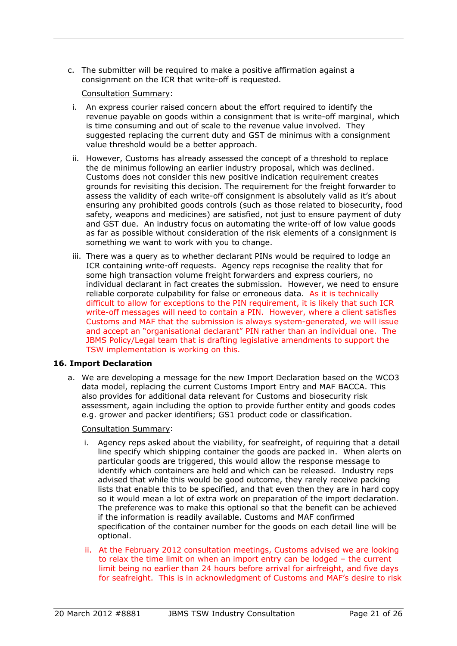c. The submitter will be required to make a positive affirmation against a consignment on the ICR that write-off is requested.

#### Consultation Summary:

- i. An express courier raised concern about the effort required to identify the revenue payable on goods within a consignment that is write-off marginal, which is time consuming and out of scale to the revenue value involved. They suggested replacing the current duty and GST de minimus with a consignment value threshold would be a better approach.
- ii. However, Customs has already assessed the concept of a threshold to replace the de minimus following an earlier industry proposal, which was declined. Customs does not consider this new positive indication requirement creates grounds for revisiting this decision. The requirement for the freight forwarder to assess the validity of each write-off consignment is absolutely valid as it's about ensuring any prohibited goods controls (such as those related to biosecurity, food safety, weapons and medicines) are satisfied, not just to ensure payment of duty and GST due. An industry focus on automating the write-off of low value goods as far as possible without consideration of the risk elements of a consignment is something we want to work with you to change.
- iii. There was a query as to whether declarant PINs would be required to lodge an ICR containing write-off requests. Agency reps recognise the reality that for some high transaction volume freight forwarders and express couriers, no individual declarant in fact creates the submission. However, we need to ensure reliable corporate culpability for false or erroneous data. As it is technically difficult to allow for exceptions to the PIN requirement, it is likely that such ICR write-off messages will need to contain a PIN. However, where a client satisfies Customs and MAF that the submission is always system-generated, we will issue and accept an "organisational declarant" PIN rather than an individual one. The JBMS Policy/Legal team that is drafting legislative amendments to support the TSW implementation is working on this.

#### **16. Import Declaration**

a. We are developing a message for the new Import Declaration based on the WCO3 data model, replacing the current Customs Import Entry and MAF BACCA. This also provides for additional data relevant for Customs and biosecurity risk assessment, again including the option to provide further entity and goods codes e.g. grower and packer identifiers; GS1 product code or classification.

- i. Agency reps asked about the viability, for seafreight, of requiring that a detail line specify which shipping container the goods are packed in. When alerts on particular goods are triggered, this would allow the response message to identify which containers are held and which can be released. Industry reps advised that while this would be good outcome, they rarely receive packing lists that enable this to be specified, and that even then they are in hard copy so it would mean a lot of extra work on preparation of the import declaration. The preference was to make this optional so that the benefit can be achieved if the information is readily available. Customs and MAF confirmed specification of the container number for the goods on each detail line will be optional.
- ii. At the February 2012 consultation meetings, Customs advised we are looking to relax the time limit on when an import entry can be lodged – the current limit being no earlier than 24 hours before arrival for airfreight, and five days for seafreight. This is in acknowledgment of Customs and MAF's desire to risk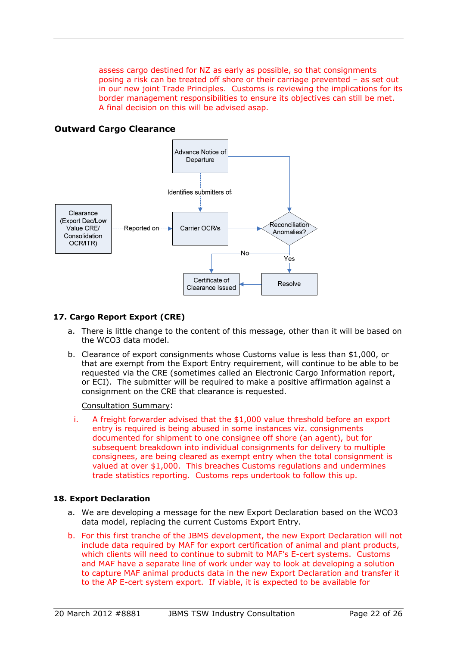assess cargo destined for NZ as early as possible, so that consignments posing a risk can be treated off shore or their carriage prevented – as set out in our new joint Trade Principles. Customs is reviewing the implications for its border management responsibilities to ensure its objectives can still be met. A final decision on this will be advised asap.

#### **Outward Cargo Clearance**

<span id="page-21-0"></span>

#### **17. Cargo Report Export (CRE)**

- a. There is little change to the content of this message, other than it will be based on the WCO3 data model.
- b. Clearance of export consignments whose Customs value is less than \$1,000, or that are exempt from the Export Entry requirement, will continue to be able to be requested via the CRE (sometimes called an Electronic Cargo Information report, or ECI). The submitter will be required to make a positive affirmation against a consignment on the CRE that clearance is requested.

Consultation Summary:

i. A freight forwarder advised that the \$1,000 value threshold before an export entry is required is being abused in some instances viz. consignments documented for shipment to one consignee off shore (an agent), but for subsequent breakdown into individual consignments for delivery to multiple consignees, are being cleared as exempt entry when the total consignment is valued at over \$1,000. This breaches Customs regulations and undermines trade statistics reporting. Customs reps undertook to follow this up.

#### **18. Export Declaration**

- a. We are developing a message for the new Export Declaration based on the WCO3 data model, replacing the current Customs Export Entry.
- b. For this first tranche of the JBMS development, the new Export Declaration will not include data required by MAF for export certification of animal and plant products, which clients will need to continue to submit to MAF's E-cert systems. Customs and MAF have a separate line of work under way to look at developing a solution to capture MAF animal products data in the new Export Declaration and transfer it to the AP E-cert system export. If viable, it is expected to be available for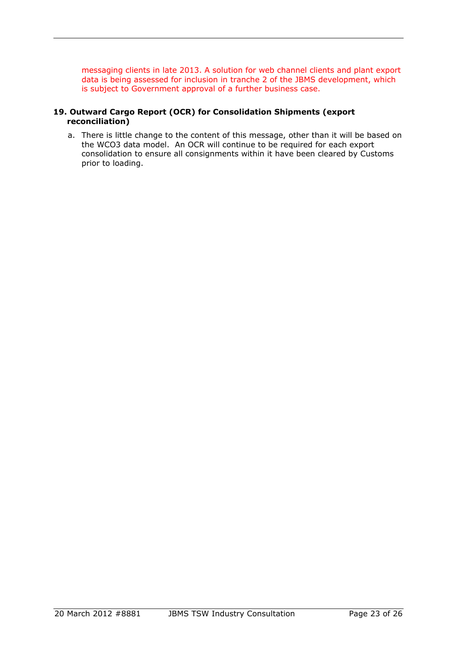messaging clients in late 2013. A solution for web channel clients and plant export data is being assessed for inclusion in tranche 2 of the JBMS development, which is subject to Government approval of a further business case.

#### **19. Outward Cargo Report (OCR) for Consolidation Shipments (export reconciliation)**

a. There is little change to the content of this message, other than it will be based on the WCO3 data model. An OCR will continue to be required for each export consolidation to ensure all consignments within it have been cleared by Customs prior to loading.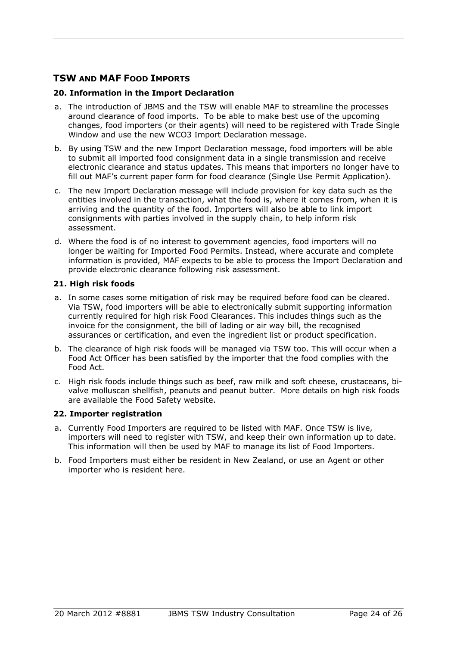## <span id="page-23-0"></span>**TSW AND MAF FOOD IMPORTS**

#### **20. Information in the Import Declaration**

- a. The introduction of JBMS and the TSW will enable MAF to streamline the processes around clearance of food imports. To be able to make best use of the upcoming changes, food importers (or their agents) will need to be registered with Trade Single Window and use the new WCO3 Import Declaration message.
- b. By using TSW and the new Import Declaration message, food importers will be able to submit all imported food consignment data in a single transmission and receive electronic clearance and status updates. This means that importers no longer have to fill out MAF's current paper form for food clearance (Single Use Permit Application).
- c. The new Import Declaration message will include provision for key data such as the entities involved in the transaction, what the food is, where it comes from, when it is arriving and the quantity of the food. Importers will also be able to link import consignments with parties involved in the supply chain, to help inform risk assessment.
- d. Where the food is of no interest to government agencies, food importers will no longer be waiting for Imported Food Permits. Instead, where accurate and complete information is provided, MAF expects to be able to process the Import Declaration and provide electronic clearance following risk assessment.

#### **21. High risk foods**

- a. In some cases some mitigation of risk may be required before food can be cleared. Via TSW, food importers will be able to electronically submit supporting information currently required for high risk Food Clearances. This includes things such as the invoice for the consignment, the bill of lading or air way bill, the recognised assurances or certification, and even the ingredient list or product specification.
- b. The clearance of high risk foods will be managed via TSW too. This will occur when a Food Act Officer has been satisfied by the importer that the food complies with the Food Act.
- c. High risk foods include things such as beef, raw milk and soft cheese, crustaceans, bivalve molluscan shellfish, peanuts and peanut butter. More details on high risk foods are available [the Food Safety website.](http://www.foodsafety.govt.nz/industry/importing/specific-foods/prescribed-foods/IFRs.htm)

#### **22. Importer registration**

- a. Currently Food Importers are required to be listed with MAF. Once TSW is live, importers will need to register with TSW, and keep their own information up to date. This information will then be used by MAF to manage its list of Food Importers.
- b. Food Importers must either be resident in New Zealand, or use an Agent or other importer who is resident here.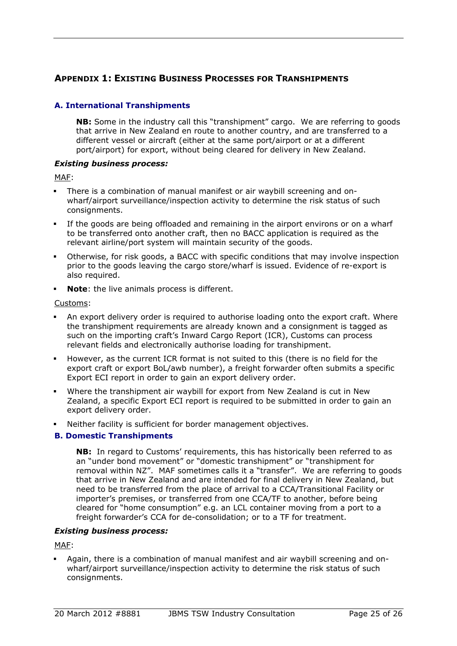## <span id="page-24-0"></span>**APPENDIX 1: EXISTING BUSINESS PROCESSES FOR TRANSHIPMENTS**

#### **A. International Transhipments**

**NB:** Some in the industry call this "transhipment" cargo. We are referring to goods that arrive in New Zealand en route to another country, and are transferred to a different vessel or aircraft (either at the same port/airport or at a different port/airport) for export, without being cleared for delivery in New Zealand.

#### *Existing business process:*

MAF:

- There is a combination of manual manifest or air waybill screening and onwharf/airport surveillance/inspection activity to determine the risk status of such consignments.
- If the goods are being offloaded and remaining in the airport environs or on a wharf to be transferred onto another craft, then no BACC application is required as the relevant airline/port system will maintain security of the goods.
- Otherwise, for risk goods, a BACC with specific conditions that may involve inspection prior to the goods leaving the cargo store/wharf is issued. Evidence of re-export is also required.
- **Note**: the live animals process is different.

#### Customs:

- An export delivery order is required to authorise loading onto the export craft. Where the transhipment requirements are already known and a consignment is tagged as such on the importing craft's Inward Cargo Report (ICR), Customs can process relevant fields and electronically authorise loading for transhipment.
- However, as the current ICR format is not suited to this (there is no field for the export craft or export BoL/awb number), a freight forwarder often submits a specific Export ECI report in order to gain an export delivery order.
- Where the transhipment air waybill for export from New Zealand is cut in New Zealand, a specific Export ECI report is required to be submitted in order to gain an export delivery order.
- Neither facility is sufficient for border management objectives.

#### **B. Domestic Transhipments**

**NB:** In regard to Customs' requirements, this has historically been referred to as an "under bond movement" or "domestic transhipment" or "transhipment for removal within NZ". MAF sometimes calls it a "transfer". We are referring to goods that arrive in New Zealand and are intended for final delivery in New Zealand, but need to be transferred from the place of arrival to a CCA/Transitional Facility or importer's premises, or transferred from one CCA/TF to another, before being cleared for "home consumption" e.g. an LCL container moving from a port to a freight forwarder's CCA for de-consolidation; or to a TF for treatment.

#### *Existing business process:*

MAF:

 Again, there is a combination of manual manifest and air waybill screening and onwharf/airport surveillance/inspection activity to determine the risk status of such consignments.